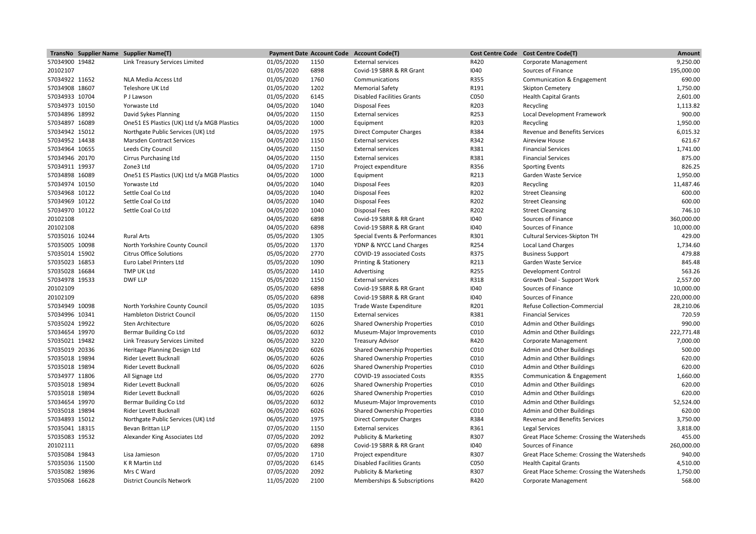|                | TransNo Supplier Name Supplier Name(T)       |            |      | Payment Date Account Code Account Code(T) |      | Cost Centre Code Cost Centre Code(T)        | Amount     |
|----------------|----------------------------------------------|------------|------|-------------------------------------------|------|---------------------------------------------|------------|
| 57034900 19482 | Link Treasury Services Limited               | 01/05/2020 | 1150 | <b>External services</b>                  | R420 | Corporate Management                        | 9,250.00   |
| 20102107       |                                              | 01/05/2020 | 6898 | Covid-19 SBRR & RR Grant                  | 1040 | Sources of Finance                          | 195,000.00 |
| 57034922 11652 | NLA Media Access Ltd                         | 01/05/2020 | 1760 | Communications                            | R355 | Communication & Engagement                  | 690.00     |
| 57034908 18607 | Teleshore UK Ltd                             | 01/05/2020 | 1202 | <b>Memorial Safety</b>                    | R191 | <b>Skipton Cemetery</b>                     | 1,750.00   |
| 57034933 10704 | P J Lawson                                   | 01/05/2020 | 6145 | <b>Disabled Facilities Grants</b>         | C050 | <b>Health Capital Grants</b>                | 2,601.00   |
| 57034973 10150 | Yorwaste Ltd                                 | 04/05/2020 | 1040 | <b>Disposal Fees</b>                      | R203 | Recycling                                   | 1,113.82   |
| 57034896 18992 | David Sykes Planning                         | 04/05/2020 | 1150 | <b>External services</b>                  | R253 | Local Development Framework                 | 900.00     |
| 57034897 16089 | One 51 ES Plastics (UK) Ltd t/a MGB Plastics | 04/05/2020 | 1000 | Equipment                                 | R203 | Recycling                                   | 1,950.00   |
| 57034942 15012 | Northgate Public Services (UK) Ltd           | 04/05/2020 | 1975 | <b>Direct Computer Charges</b>            | R384 | <b>Revenue and Benefits Services</b>        | 6,015.32   |
| 57034952 14438 | <b>Marsden Contract Services</b>             | 04/05/2020 | 1150 | <b>External services</b>                  | R342 | <b>Aireview House</b>                       | 621.67     |
| 57034964 10655 | Leeds City Council                           | 04/05/2020 | 1150 | <b>External services</b>                  | R381 | <b>Financial Services</b>                   | 1,741.00   |
| 57034946 20170 | <b>Cirrus Purchasing Ltd</b>                 | 04/05/2020 | 1150 | <b>External services</b>                  | R381 | <b>Financial Services</b>                   | 875.00     |
| 57034911 19937 | Zone3 Ltd                                    | 04/05/2020 | 1710 | Project expenditure                       | R356 | <b>Sporting Events</b>                      | 826.25     |
| 57034898 16089 | One 51 ES Plastics (UK) Ltd t/a MGB Plastics | 04/05/2020 | 1000 | Equipment                                 | R213 | Garden Waste Service                        | 1,950.00   |
| 57034974 10150 | Yorwaste Ltd                                 | 04/05/2020 | 1040 | Disposal Fees                             | R203 | Recycling                                   | 11,487.46  |
| 57034968 10122 | Settle Coal Co Ltd                           | 04/05/2020 | 1040 | <b>Disposal Fees</b>                      | R202 | <b>Street Cleansing</b>                     | 600.00     |
| 57034969 10122 | Settle Coal Co Ltd                           | 04/05/2020 | 1040 | <b>Disposal Fees</b>                      | R202 | <b>Street Cleansing</b>                     | 600.00     |
| 57034970 10122 | Settle Coal Co Ltd                           | 04/05/2020 | 1040 | <b>Disposal Fees</b>                      | R202 | <b>Street Cleansing</b>                     | 746.10     |
| 20102108       |                                              | 04/05/2020 | 6898 | Covid-19 SBRR & RR Grant                  | 1040 | Sources of Finance                          | 360,000.00 |
| 20102108       |                                              | 04/05/2020 | 6898 | Covid-19 SBRR & RR Grant                  | 1040 | Sources of Finance                          | 10,000.00  |
| 57035016 10244 | <b>Rural Arts</b>                            | 05/05/2020 | 1305 | Special Events & Performances             | R301 | Cultural Services-Skipton TH                | 429.00     |
| 57035005 10098 | North Yorkshire County Council               | 05/05/2020 | 1370 | YDNP & NYCC Land Charges                  | R254 | <b>Local Land Charges</b>                   | 1,734.60   |
| 57035014 15902 | <b>Citrus Office Solutions</b>               | 05/05/2020 | 2770 | COVID-19 associated Costs                 | R375 | <b>Business Support</b>                     | 479.88     |
| 57035023 16853 | Euro Label Printers Ltd                      | 05/05/2020 | 1090 | Printing & Stationery                     | R213 | Garden Waste Service                        | 845.48     |
| 57035028 16684 | <b>TMP UK Ltd</b>                            | 05/05/2020 | 1410 | Advertising                               | R255 | <b>Development Control</b>                  | 563.26     |
| 57034978 19533 | <b>DWF LLP</b>                               | 05/05/2020 | 1150 | <b>External services</b>                  | R318 | Growth Deal - Support Work                  | 2,557.00   |
| 20102109       |                                              | 05/05/2020 | 6898 | Covid-19 SBRR & RR Grant                  | 1040 | Sources of Finance                          | 10,000.00  |
| 20102109       |                                              | 05/05/2020 | 6898 | Covid-19 SBRR & RR Grant                  | 1040 | Sources of Finance                          | 220,000.00 |
| 57034949 10098 | North Yorkshire County Council               | 05/05/2020 | 1035 | Trade Waste Expenditure                   | R201 | Refuse Collection-Commercial                | 28,210.06  |
| 57034996 10341 | <b>Hambleton District Council</b>            | 06/05/2020 | 1150 | <b>External services</b>                  | R381 | <b>Financial Services</b>                   | 720.59     |
| 57035024 19922 | Sten Architecture                            | 06/05/2020 | 6026 | <b>Shared Ownership Properties</b>        | C010 | Admin and Other Buildings                   | 990.00     |
| 57034654 19970 | Bermar Building Co Ltd                       | 06/05/2020 | 6032 | Museum-Major Improvements                 | C010 | Admin and Other Buildings                   | 222,771.48 |
| 57035021 19482 | Link Treasury Services Limited               | 06/05/2020 | 3220 | <b>Treasury Advisor</b>                   | R420 | Corporate Management                        | 7,000.00   |
| 57035019 20336 | Heritage Planning Design Ltd                 | 06/05/2020 | 6026 | Shared Ownership Properties               | C010 | Admin and Other Buildings                   | 500.00     |
| 57035018 19894 | <b>Rider Levett Bucknall</b>                 | 06/05/2020 | 6026 | <b>Shared Ownership Properties</b>        | C010 | Admin and Other Buildings                   | 620.00     |
| 57035018 19894 | <b>Rider Levett Bucknall</b>                 | 06/05/2020 | 6026 | <b>Shared Ownership Properties</b>        | C010 | Admin and Other Buildings                   | 620.00     |
| 57034977 11806 | All Signage Ltd                              | 06/05/2020 | 2770 | COVID-19 associated Costs                 | R355 | Communication & Engagement                  | 1,660.00   |
| 57035018 19894 | <b>Rider Levett Bucknall</b>                 | 06/05/2020 | 6026 | <b>Shared Ownership Properties</b>        | C010 | Admin and Other Buildings                   | 620.00     |
| 57035018 19894 | Rider Levett Bucknall                        | 06/05/2020 | 6026 | <b>Shared Ownership Properties</b>        | C010 | Admin and Other Buildings                   | 620.00     |
| 57034654 19970 | Bermar Building Co Ltd                       | 06/05/2020 | 6032 | Museum-Major Improvements                 | C010 | Admin and Other Buildings                   | 52,524.00  |
| 57035018 19894 | Rider Levett Bucknall                        | 06/05/2020 | 6026 | <b>Shared Ownership Properties</b>        | C010 | Admin and Other Buildings                   | 620.00     |
| 57034893 15012 | Northgate Public Services (UK) Ltd           | 06/05/2020 | 1975 | <b>Direct Computer Charges</b>            | R384 | <b>Revenue and Benefits Services</b>        | 3,750.00   |
| 57035041 18315 | Bevan Brittan LLP                            | 07/05/2020 | 1150 | <b>External services</b>                  | R361 | <b>Legal Services</b>                       | 3,818.00   |
| 57035083 19532 | Alexander King Associates Ltd                | 07/05/2020 | 2092 | Publicity & Marketing                     | R307 | Great Place Scheme: Crossing the Watersheds | 455.00     |
|                |                                              |            |      |                                           |      |                                             |            |
| 20102111       |                                              | 07/05/2020 | 6898 | Covid-19 SBRR & RR Grant                  | 1040 | Sources of Finance                          | 260,000.00 |
| 57035084 19843 | Lisa Jamieson                                | 07/05/2020 | 1710 | Project expenditure                       | R307 | Great Place Scheme: Crossing the Watersheds | 940.00     |
| 57035036 11500 | K R Martin Ltd                               | 07/05/2020 | 6145 | <b>Disabled Facilities Grants</b>         | C050 | <b>Health Capital Grants</b>                | 4,510.00   |
| 57035082 19896 | Mrs C Ward                                   | 07/05/2020 | 2092 | Publicity & Marketing                     | R307 | Great Place Scheme: Crossing the Watersheds | 1,750.00   |
| 57035068 16628 | <b>District Councils Network</b>             | 11/05/2020 | 2100 | Memberships & Subscriptions               | R420 | Corporate Management                        | 568.00     |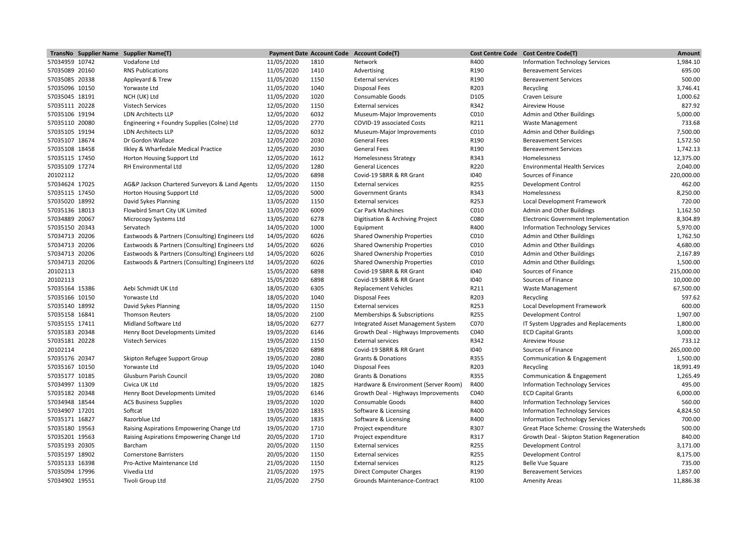|                | TransNo Supplier Name Supplier Name(T)          |            |      | Payment Date Account Code Account Code(T) |              | Cost Centre Code Cost Centre Code(T)        | Amount             |
|----------------|-------------------------------------------------|------------|------|-------------------------------------------|--------------|---------------------------------------------|--------------------|
| 57034959 10742 | Vodafone Ltd                                    | 11/05/2020 | 1810 | Network                                   | R400         | <b>Information Technology Services</b>      | 1,984.10           |
| 57035089 20160 | <b>RNS Publications</b>                         | 11/05/2020 | 1410 | Advertising                               | R190         | <b>Bereavement Services</b>                 | 695.00             |
| 57035085 20338 | Appleyard & Trew                                | 11/05/2020 | 1150 | <b>External services</b>                  | R190         | <b>Bereavement Services</b>                 | 500.00             |
| 57035096 10150 | Yorwaste Ltd                                    | 11/05/2020 | 1040 | <b>Disposal Fees</b>                      | R203         | Recycling                                   | 3,746.41           |
| 57035045 18191 | NCH (UK) Ltd                                    | 11/05/2020 | 1020 | Consumable Goods                          | D105         | Craven Leisure                              | 1,000.62           |
| 57035111 20228 | <b>Vistech Services</b>                         | 12/05/2020 | 1150 | <b>External services</b>                  | R342         | <b>Aireview House</b>                       | 827.92             |
| 57035106 19194 | <b>LDN Architects LLP</b>                       | 12/05/2020 | 6032 | Museum-Major Improvements                 | C010         | Admin and Other Buildings                   | 5,000.00           |
| 57035110 20080 | Engineering + Foundry Supplies (Colne) Ltd      | 12/05/2020 | 2770 | COVID-19 associated Costs                 | R211         | Waste Management                            | 733.68             |
| 57035105 19194 | <b>LDN Architects LLP</b>                       | 12/05/2020 | 6032 | Museum-Major Improvements                 | C010         | Admin and Other Buildings                   | 7,500.00           |
| 57035107 18674 | Dr Gordon Wallace                               | 12/05/2020 | 2030 | <b>General Fees</b>                       | R190         | <b>Bereavement Services</b>                 | 1,572.50           |
| 57035108 18458 | Ilkley & Wharfedale Medical Practice            | 12/05/2020 | 2030 | <b>General Fees</b>                       | R190         | <b>Bereavement Services</b>                 | 1,742.13           |
| 57035115 17450 | Horton Housing Support Ltd                      | 12/05/2020 | 1612 | <b>Homelessness Strategy</b>              | R343         | Homelessness                                | 12,375.00          |
| 57035109 17274 | <b>RH Environmental Ltd</b>                     | 12/05/2020 | 1280 | <b>General Licences</b>                   | R220         | <b>Environmental Health Services</b>        | 2,040.00           |
| 20102112       |                                                 | 12/05/2020 | 6898 | Covid-19 SBRR & RR Grant                  | 1040         | Sources of Finance                          | 220,000.00         |
| 57034624 17025 | AG&P Jackson Chartered Surveyors & Land Agents  | 12/05/2020 | 1150 | <b>External services</b>                  | R255         | <b>Development Control</b>                  | 462.00             |
| 57035115 17450 | Horton Housing Support Ltd                      | 12/05/2020 | 5000 | <b>Government Grants</b>                  | R343         | Homelessness                                | 8,250.00           |
| 57035020 18992 | David Sykes Planning                            | 13/05/2020 | 1150 | <b>External services</b>                  | R253         | Local Development Framework                 | 720.00             |
| 57035136 18013 | Flowbird Smart City UK Limited                  | 13/05/2020 | 6009 | Car Park Machines                         | C010         | Admin and Other Buildings                   | 1,162.50           |
| 57034889 20067 | Microcopy Systems Ltd                           | 13/05/2020 | 6278 | Digitisation & Archiving Project          | C080         | Electronic Government Implementation        | 8,304.89           |
| 57035150 20343 | Servatech                                       | 14/05/2020 | 1000 | Equipment                                 | R400         | <b>Information Technology Services</b>      | 5,970.00           |
| 57034713 20206 | Eastwoods & Partners (Consulting) Engineers Ltd | 14/05/2020 | 6026 | <b>Shared Ownership Properties</b>        | C010         | Admin and Other Buildings                   | 1,762.50           |
| 57034713 20206 | Eastwoods & Partners (Consulting) Engineers Ltd | 14/05/2020 | 6026 | <b>Shared Ownership Properties</b>        | C010         | Admin and Other Buildings                   | 4,680.00           |
| 57034713 20206 | Eastwoods & Partners (Consulting) Engineers Ltd | 14/05/2020 | 6026 | <b>Shared Ownership Properties</b>        | C010         | Admin and Other Buildings                   | 2,167.89           |
| 57034713 20206 | Eastwoods & Partners (Consulting) Engineers Ltd | 14/05/2020 | 6026 | <b>Shared Ownership Properties</b>        | C010         | Admin and Other Buildings                   | 1,500.00           |
| 20102113       |                                                 | 15/05/2020 | 6898 | Covid-19 SBRR & RR Grant                  | 1040         | Sources of Finance                          | 215,000.00         |
| 20102113       |                                                 | 15/05/2020 | 6898 | Covid-19 SBRR & RR Grant                  | 1040         | Sources of Finance                          | 10,000.00          |
| 57035164 15386 | Aebi Schmidt UK Ltd                             | 18/05/2020 | 6305 | <b>Replacement Vehicles</b>               | R211         | <b>Waste Management</b>                     | 67,500.00          |
| 57035166 10150 | Yorwaste Ltd                                    | 18/05/2020 | 1040 | <b>Disposal Fees</b>                      | R203         | Recycling                                   | 597.62             |
| 57035140 18992 | David Sykes Planning                            | 18/05/2020 | 1150 | <b>External services</b>                  | R253         | Local Development Framework                 | 600.00             |
| 57035158 16841 | <b>Thomson Reuters</b>                          | 18/05/2020 | 2100 | Memberships & Subscriptions               | R255         | <b>Development Control</b>                  | 1,907.00           |
| 57035155 17411 | Midland Software Ltd                            | 18/05/2020 | 6277 | Integrated Asset Management System        | C070         | IT System Upgrades and Replacements         | 1,800.00           |
| 57035183 20348 | Henry Boot Developments Limited                 | 19/05/2020 | 6146 | Growth Deal - Highways Improvements       | C040         | <b>ECD Capital Grants</b>                   | 3,000.00           |
| 57035181 20228 | <b>Vistech Services</b>                         | 19/05/2020 | 1150 | <b>External services</b>                  | R342         | <b>Aireview House</b>                       | 733.12             |
| 20102114       |                                                 | 19/05/2020 | 6898 | Covid-19 SBRR & RR Grant                  | 1040         | Sources of Finance                          | 265,000.00         |
| 57035176 20347 | Skipton Refugee Support Group                   | 19/05/2020 | 2080 | <b>Grants &amp; Donations</b>             | R355         | Communication & Engagement                  | 1,500.00           |
| 57035167 10150 | Yorwaste Ltd                                    | 19/05/2020 | 1040 | <b>Disposal Fees</b>                      | R203         | Recycling                                   | 18,991.49          |
| 57035177 10185 | Glusburn Parish Council                         | 19/05/2020 | 2080 | Grants & Donations                        | R355         | Communication & Engagement                  | 1,265.49           |
|                |                                                 |            |      |                                           |              |                                             | 495.00             |
| 57034997 11309 | Civica UK Ltd                                   | 19/05/2020 | 1825 | Hardware & Environment (Server Room)      | R400<br>C040 | <b>Information Technology Services</b>      |                    |
| 57035182 20348 | Henry Boot Developments Limited                 | 19/05/2020 | 6146 | Growth Deal - Highways Improvements       | R400         | <b>ECD Capital Grants</b>                   | 6,000.00<br>560.00 |
| 57034948 18544 | <b>ACS Business Supplies</b>                    | 19/05/2020 | 1020 | Consumable Goods                          | R400         | <b>Information Technology Services</b>      |                    |
| 57034907 17201 | Softcat                                         | 19/05/2020 | 1835 | Software & Licensing                      |              | <b>Information Technology Services</b>      | 4,824.50<br>700.00 |
| 57035171 16827 | Razorblue Ltd                                   | 19/05/2020 | 1835 | Software & Licensing                      | R400         | <b>Information Technology Services</b>      |                    |
| 57035180 19563 | Raising Aspirations Empowering Change Ltd       | 19/05/2020 | 1710 | Project expenditure                       | R307         | Great Place Scheme: Crossing the Watersheds | 500.00             |
| 57035201 19563 | Raising Aspirations Empowering Change Ltd       | 20/05/2020 | 1710 | Project expenditure                       | R317         | Growth Deal - Skipton Station Regeneration  | 840.00             |
| 57035193 20305 | Barcham                                         | 20/05/2020 | 1150 | <b>External services</b>                  | R255         | <b>Development Control</b>                  | 3,171.00           |
| 57035197 18902 | <b>Cornerstone Barristers</b>                   | 20/05/2020 | 1150 | <b>External services</b>                  | R255         | <b>Development Control</b>                  | 8,175.00           |
| 57035133 16398 | Pro-Active Maintenance Ltd                      | 21/05/2020 | 1150 | <b>External services</b>                  | R125         | <b>Belle Vue Square</b>                     | 735.00             |
| 57035094 17996 | Vivedia Ltd                                     | 21/05/2020 | 1975 | <b>Direct Computer Charges</b>            | R190         | <b>Bereavement Services</b>                 | 1,857.00           |
| 57034902 19551 | Tivoli Group Ltd                                | 21/05/2020 | 2750 | Grounds Maintenance-Contract              | R100         | <b>Amenity Areas</b>                        | 11,886.38          |